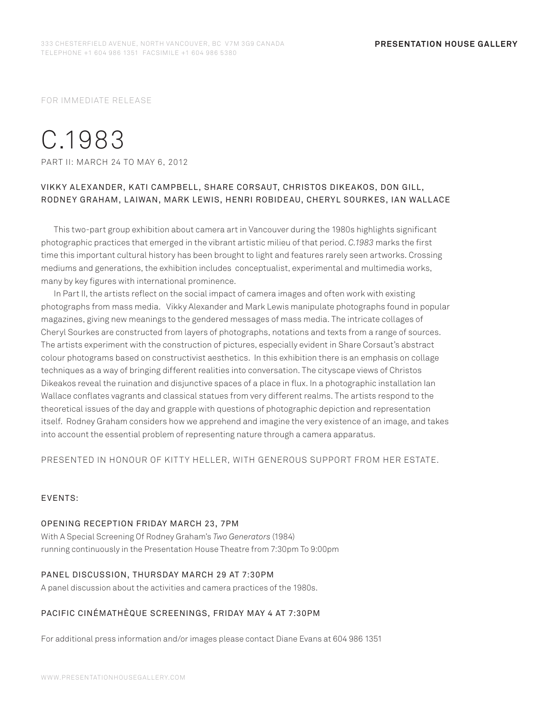FOR IMMEDIATE RELEASE

# C.1983

PART II: MARCH 24 TO MAY 6, 2012

# VIKK Y ALEX ANDER, K ATI CAMPBELL, SHARE CORSAUT, CHRISTOS DIKEAKOS, DON GILL, RODNEY GRAHAM, LAIWAN, MARK LEWIS, HENRI ROBIDEAU, CHERYL SOURKES, IAN WALLACE

This two-part group exhibition about camera art in Vancouver during the 1980s highlights significant photographic practices that emerged in the vibrant artistic milieu of that period. *C.1983* marks the first time this important cultural history has been brought to light and features rarely seen artworks. Crossing mediums and generations, the exhibition includes conceptualist, experimental and multimedia works, many by key figures with international prominence.

In Part II, the artists reflect on the social impact of camera images and often work with existing photographs from mass media. Vikky Alexander and Mark Lewis manipulate photographs found in popular magazines, giving new meanings to the gendered messages of mass media. The intricate collages of Cheryl Sourkes are constructed from layers of photographs, notations and texts from a range of sources. The artists experiment with the construction of pictures, especially evident in Share Corsaut's abstract colour photograms based on constructivist aesthetics. In this exhibition there is an emphasis on collage techniques as a way of bringing different realities into conversation. The cityscape views of Christos Dikeakos reveal the ruination and disjunctive spaces of a place in flux. In a photographic installation Ian Wallace conflates vagrants and classical statues from very different realms. The artists respond to the theoretical issues of the day and grapple with questions of photographic depiction and representation itself. Rodney Graham considers how we apprehend and imagine the very existence of an image, and takes into account the essential problem of representing nature through a camera apparatus.

PRESENTED IN HONOUR OF KITTY HELLER, WITH GENEROUS SUPPORT FROM HER ESTATE.

### EVENTS:

#### OPENING RECEPTION FRIDAY MARCH 23, 7PM

With A Special Screening Of Rodney Graham's *Two Generators* (1984) running continuously in the Presentation House Theatre from 7:30pm To 9:00pm

#### PANEL DISCUSSION, THURSDAY MARCH 29 AT 7:30PM

A panel discussion about the activities and camera practices of the 1980s.

## PACIFIC CINÉMATHÈQUE SCREENINGS, FRIDAY MAY 4 AT 7:30PM

For additional press information and/or images please contact Diane Evans at 604 986 1351